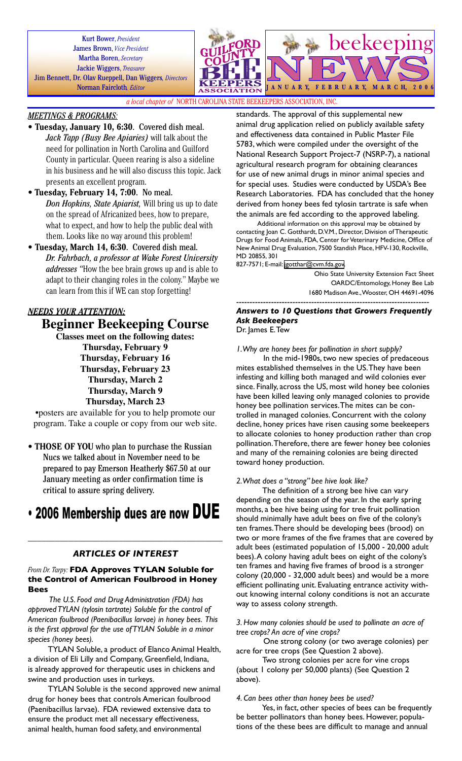Kurt Bower, *President* James Brown, *Vice President* Martha Boren, *Secretary* Jackie Wiggers, *Treasurer* Jim Bennett, Dr. Olav Rueppell, Dan Wiggers*, Directors* Norman Faircloth*, Editor*



*a local chapter of* NORTH CAROLINA STATE BEEKEEPERS ASSOCIATION, INC.

## *MEETINGS & PROGRAMS:*

- **Tuesday, January 10, 6:30**. Covered dish meal. *Jack Tapp (Busy Bee Apiaries)* will talk about the need for pollination in North Carolina and Guilford County in particular. Queen rearing is also a sideline in his business and he will also discuss this topic. Jack presents an excellent program.
- **Tuesday, February 14, 7:00**. No meal. *Don Hopkins, State Apiarist,* Will bring us up to date on the spread of Africanized bees, how to prepare, what to expect, and how to help the public deal with them. Looks like no way around this problem!
- **Tuesday, March 14, 6:30**. Covered dish meal. *Dr. Fahrbach, a professor at Wake Forest University addresses "*How the bee brain grows up and is able to adapt to their changing roles in the colony." Maybe we can learn from this if WE can stop forgetting!

# *NEEDS YOUR ATTENTION:*

**Beginner Beekeeping Course**

**Classes meet on the following dates: Thursday, February 9 Thursday, February 16 Thursday, February 23 Thursday, March 2 Thursday, March 9 Thursday, March 23**

•posters are available for you to help promote our program. Take a couple or copy from our web site.

• **THOSE OF YOU** who plan to purchase the Russian Nucs we talked about in November need to be prepared to pay Emerson Heatherly \$67.50 at our January meeting as order confirmation time is critical to assure spring delivery.

# • 2006 Membership dues are now DUE

## *ARTICLES OF INTEREST*

\_\_\_\_\_\_\_\_\_\_\_\_\_\_\_\_\_\_\_\_\_\_\_\_\_\_\_\_\_\_\_\_\_\_\_\_\_\_\_\_\_\_\_

#### *From Dr. Tarpy:* **FDA Approves TYLAN Soluble for the Control of American Foulbrood in Honey Bees**

*The U.S. Food and Drug Administration (FDA) has approved TYLAN (tylosin tartrate) Soluble for the control of American foulbrood (Paenibacillus larvae) in honey bees. This is the first approval for the use of TYLAN Soluble in a minor species (honey bees).*

TYLAN Soluble, a product of Elanco Animal Health, a division of Eli Lilly and Company, Greenfield, Indiana, is already approved for therapeutic uses in chickens and swine and production uses in turkeys.

TYLAN Soluble is the second approved new animal drug for honey bees that controls American foulbrood (Paenibacillus larvae). FDA reviewed extensive data to ensure the product met all necessary effectiveness, animal health, human food safety, and environmental

standards. The approval of this supplemental new animal drug application relied on publicly available safety and effectiveness data contained in Public Master File 5783, which were compiled under the oversight of the National Research Support Project-7 (NSRP-7), a national agricultural research program for obtaining clearances for use of new animal drugs in minor animal species and for special uses. Studies were conducted by USDA's Bee Research Laboratories. FDA has concluded that the honey derived from honey bees fed tylosin tartrate is safe when the animals are fed according to the approved labeling.

Additional information on this approval may be obtained by contacting Joan C. Gotthardt, D.V.M., Director, Division of Therapeutic Drugs for Food Animals, FDA, Center for Veterinary Medicine, Office of New Animal Drug Evaluation, 7500 Standish Place, HFV-130, Rockville, MD 20855, 301

827-7571; E-mail: [jgotthar@cvm.fda.gov.](mailto:jgotthar@cvm.fda.gov)

Ohio State University Extension Fact Sheet OARDC/Entomology, Honey Bee Lab 1680 Madison Ave., Wooster, OH 44691-4096

# ------------------------------------------------------------------------ *Answers to 10 Questions that Growers Frequently Ask Beekeepers*

Dr. James E. Tew

*1. Why are honey bees for pollination in short supply?*

In the mid-1980s, two new species of predaceous mites established themselves in the US. They have been infesting and killing both managed and wild colonies ever since. Finally, across the US, most wild honey bee colonies have been killed leaving only managed colonies to provide honey bee pollination services. The mites can be controlled in managed colonies. Concurrent with the colony decline, honey prices have risen causing some beekeepers to allocate colonies to honey production rather than crop pollination. Therefore, there are fewer honey bee colonies and many of the remaining colonies are being directed toward honey production.

#### *2. What does a "strong" bee hive look like?*

The definition of a strong bee hive can vary depending on the season of the year. In the early spring months, a bee hive being using for tree fruit pollination should minimally have adult bees on five of the colony's ten frames. There should be developing bees (brood) on two or more frames of the five frames that are covered by adult bees (estimated population of 15,000 - 20,000 adult bees). A colony having adult bees on eight of the colony's ten frames and having five frames of brood is a stronger colony (20,000 - 32,000 adult bees) and would be a more efficient pollinating unit. Evaluating entrance activity without knowing internal colony conditions is not an accurate way to assess colony strength.

#### *3. How many colonies should be used to pollinate an acre of tree crops? An acre of vine crops?*

One strong colony (or two average colonies) per acre for tree crops (See Question 2 above).

Two strong colonies per acre for vine crops (about 1 colony per 50,000 plants) (See Question 2 above).

*4. Can bees other than honey bees be used?*

Yes, in fact, other species of bees can be frequently be better pollinators than honey bees. However, populations of the these bees are difficult to manage and annual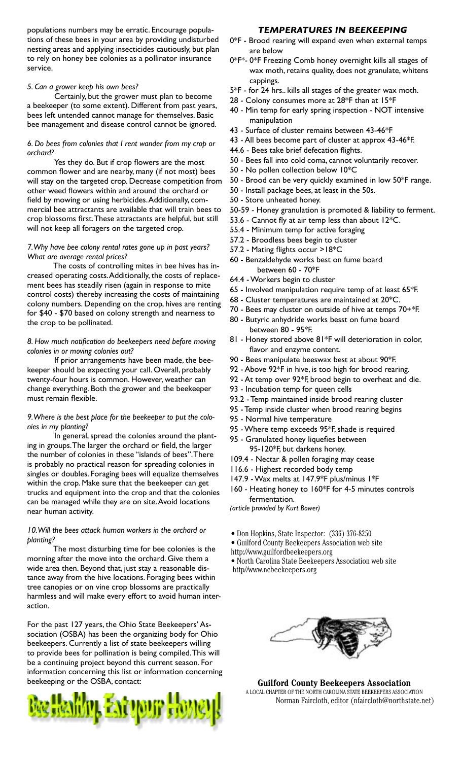populations numbers may be erratic. Encourage populations of these bees in your area by providing undisturbed nesting areas and applying insecticides cautiously, but plan to rely on honey bee colonies as a pollinator insurance service.

## *5. Can a grower keep his own bees?*

Certainly, but the grower must plan to become a beekeeper (to some extent). Different from past years, bees left untended cannot manage for themselves. Basic bee management and disease control cannot be ignored.

## *6. Do bees from colonies that I rent wander from my crop or orchard?*

Yes they do. But if crop flowers are the most common flower and are nearby, many (if not most) bees will stay on the targeted crop. Decrease competition from other weed flowers within and around the orchard or field by mowing or using herbicides. Additionally, commercial bee attractants are available that will train bees to crop blossoms first. These attractants are helpful, but still will not keep all foragers on the targeted crop.

#### *7. Why have bee colony rental rates gone up in past years? What are average rental prices?*

The costs of controlling mites in bee hives has increased operating costs. Additionally, the costs of replacement bees has steadily risen (again in response to mite control costs) thereby increasing the costs of maintaining colony numbers. Depending on the crop, hives are renting for \$40 - \$70 based on colony strength and nearness to the crop to be pollinated.

#### *8. How much notification do beekeepers need before moving colonies in or moving colonies out?*

If prior arrangements have been made, the beekeeper should be expecting your call. Overall, probably twenty-four hours is common. However, weather can change everything. Both the grower and the beekeeper must remain flexible.

## *9. Where is the best place for the beekeeper to put the colonies in my planting?*

In general, spread the colonies around the planting in groups. The larger the orchard or field, the larger the number of colonies in these "islands of bees". There is probably no practical reason for spreading colonies in singles or doubles. Foraging bees will equalize themselves within the crop. Make sure that the beekeeper can get trucks and equipment into the crop and that the colonies can be managed while they are on site. Avoid locations near human activity.

## *10. Will the bees attack human workers in the orchard or planting?*

The most disturbing time for bee colonies is the morning after the move into the orchard. Give them a wide area then. Beyond that, just stay a reasonable distance away from the hive locations. Foraging bees within tree canopies or on vine crop blossoms are practically harmless and will make every effort to avoid human interaction.

For the past 127 years, the Ohio State Beekeepers' Association (OSBA) has been the organizing body for Ohio beekeepers. Currently a list of state beekeepers willing to provide bees for pollination is being compiled. This will be a continuing project beyond this current season. For information concerning this list or information concerning beekeeping or the OSBA, contact:



# *TEMPERATURES IN BEEKEEPING*

- 0\*F Brood rearing will expand even when external temps are below
- 0\*F\*- 0\*F Freezing Comb honey overnight kills all stages of wax moth, retains quality, does not granulate, whitens cappings.
- 5\*F for 24 hrs.. kills all stages of the greater wax moth.
- 28 Colony consumes more at 28\*F than at 15\*F
- 40 Min temp for early spring inspection NOT intensive manipulation
- 43 Surface of cluster remains between 43-46\*F
- 43 All bees become part of cluster at approx 43-46\*F.
- 44.6 Bees take brief defecation flights.
- 50 Bees fall into cold coma, cannot voluntarily recover.
- 50 No pollen collection below 10\*C
- 50 Brood can be very quickly examined in low 50\*F range.
- 50 Install package bees, at least in the 50s.
- 50 Store unheated honey.
- 50-59 Honey granulation is promoted & liability to ferment.
- 53.6 Cannot fly at air temp less than about 12\*C.
- 55.4 Minimum temp for active foraging
- 57.2 Broodless bees begin to cluster
- 57.2 Mating flights occur >18\*C
- 60 Benzaldehyde works best on fume board between 60 - 70\*F
- 64.4 Workers begin to cluster
- 65 Involved manipulation require temp of at least 65\*F.
- 68 Cluster temperatures are maintained at 20\*C.
- 70 Bees may cluster on outside of hive at temps 70+\*F.
- 80 Butyric anhydride works besst on fume board between 80 - 95\*F.
- 81 Honey stored above 81\*F will deterioration in color, flavor and enzyme content.
- 90 Bees manipulate beeswax best at about 90\*F.
- 92 Above 92\*F in hive, is too high for brood rearing.
- 92 At temp over 92\*F, brood begin to overheat and die.
- 93 Incubation temp for queen cells
- 93.2 Temp maintained inside brood rearing cluster
- 95 Temp inside cluster when brood rearing begins
- 95 Normal hive temperature
- 95 Where temp exceeds 95\*F, shade is required
- 95 Granulated honey liquefies between
- 95-120\*F, but darkens honey.
- 109.4 Nectar & pollen foraging may cease
- 116.6 Highest recorded body temp
- 147.9 Wax melts at 147.9\*F plus/minus 1\*F
- 160 Heating honey to 160\*F for 4-5 minutes controls fermentation.

*(article provided by Kurt Bower)*

- Don Hopkins, State Inspector: (336) 376-8250
- Guilford County Beekeepers Association web site
- http://www.guilfordbeekeepers.org
- North Carolina State Beekeepers Association web site http//www.ncbeekeepers.org



**Guilford County Beekeepers Association** A LOCAL CHAPTER OF THE NORTH CAROLINA STATE BEEKEEPERS ASSOCIATION Norman Faircloth, editor (nfaircloth@northstate.net)